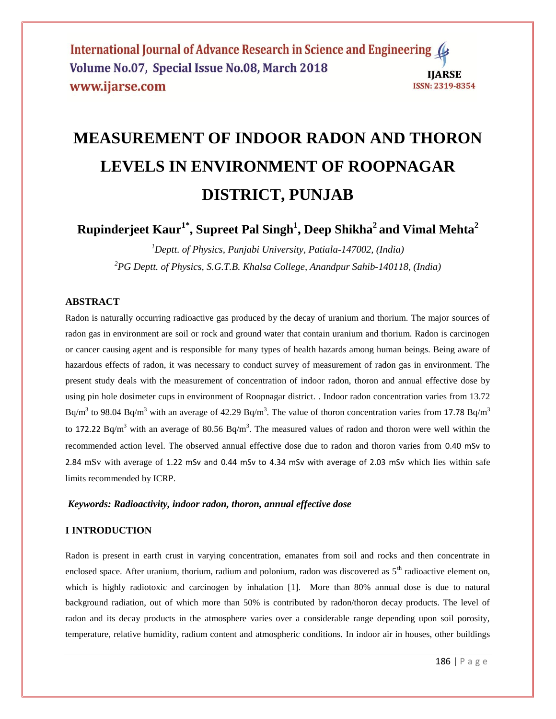International Journal of Advance Research in Science and Engineering ( Volume No.07, Special Issue No.08, March 2018 **IIARSE** www.ijarse.com ISSN: 2319-8354

# **MEASUREMENT OF INDOOR RADON AND THORON LEVELS IN ENVIRONMENT OF ROOPNAGAR DISTRICT, PUNJAB**

**Rupinderjeet Kaur1\*, Supreet Pal Singh<sup>1</sup> , Deep Shikha<sup>2</sup>and Vimal Mehta<sup>2</sup>**

*<sup>1</sup>Deptt. of Physics, Punjabi University, Patiala-147002, (India) <sup>2</sup>PG Deptt. of Physics, S.G.T.B. Khalsa College, Anandpur Sahib-140118, (India)*

### **ABSTRACT**

Radon is naturally occurring radioactive gas produced by the decay of uranium and thorium. The major sources of radon gas in environment are soil or rock and ground water that contain uranium and thorium. Radon is carcinogen or cancer causing agent and is responsible for many types of health hazards among human beings. Being aware of hazardous effects of radon, it was necessary to conduct survey of measurement of radon gas in environment. The present study deals with the measurement of concentration of indoor radon, thoron and annual effective dose by using pin hole dosimeter cups in environment of Roopnagar district. . Indoor radon concentration varies from 13.72 Bq/m<sup>3</sup> to 98.04 Bq/m<sup>3</sup> with an average of 42.29 Bq/m<sup>3</sup>. The value of thoron concentration varies from 17.78 Bq/m<sup>3</sup> to 172.22 Bq/m<sup>3</sup> with an average of 80.56 Bq/m<sup>3</sup>. The measured values of radon and thoron were well within the recommended action level. The observed annual effective dose due to radon and thoron varies from 0.40 mSv to 2.84 mSv with average of 1.22 mSv and 0.44 mSv to 4.34 mSv with average of 2.03 mSv which lies within safe limits recommended by ICRP.

# *Keywords: Radioactivity, indoor radon, thoron, annual effective dose*

# **I INTRODUCTION**

Radon is present in earth crust in varying concentration, emanates from soil and rocks and then concentrate in enclosed space. After uranium, thorium, radium and polonium, radon was discovered as  $5<sup>th</sup>$  radioactive element on, which is highly radiotoxic and carcinogen by inhalation [1]. More than 80% annual dose is due to natural background radiation, out of which more than 50% is contributed by radon/thoron decay products. The level of radon and its decay products in the atmosphere varies over a considerable range depending upon soil porosity, temperature, relative humidity, radium content and atmospheric conditions. In indoor air in houses, other buildings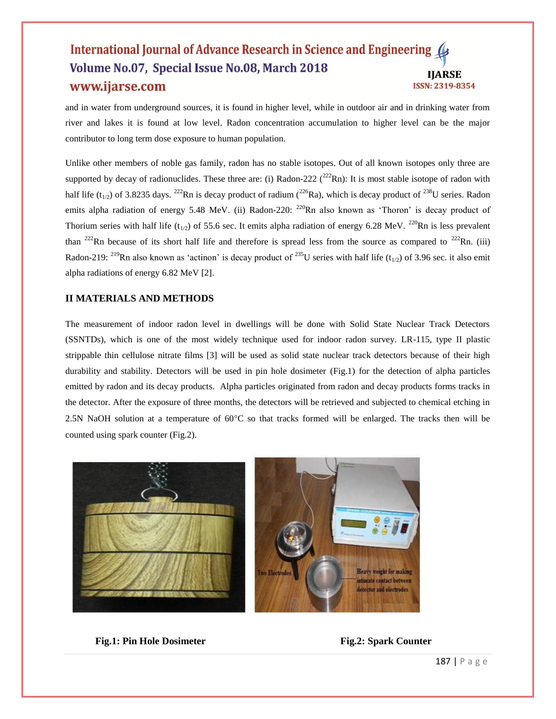#### International Journal of Advance Research in Science and Engineering ( Volume No.07, Special Issue No.08, March 2018 **IIARSE** www.ijarse.com ISSN: 2319-8354

and in water from underground sources, it is found in higher level, while in outdoor air and in drinking water from river and lakes it is found at low level. Radon concentration accumulation to higher level can be the major contributor to long term dose exposure to human population.

Unlike other members of noble gas family, radon has no stable isotopes. Out of all known isotopes only three are supported by decay of radionuclides. These three are: (i) Radon-222  $(^{222}Rn)$ : It is most stable isotope of radon with half life (t<sub>1/2</sub>) of 3.8235 days. <sup>222</sup>Rn is decay product of radium (<sup>226</sup>Ra), which is decay product of <sup>238</sup>U series. Radon emits alpha radiation of energy 5.48 MeV. (ii) Radon-220: <sup>220</sup>Rn also known as 'Thoron' is decay product of Thorium series with half life (t<sub>1/2</sub>) of 55.6 sec. It emits alpha radiation of energy 6.28 MeV. <sup>220</sup>Rn is less prevalent than <sup>222</sup>Rn because of its short half life and therefore is spread less from the source as compared to <sup>222</sup>Rn. (iii) Radon-219: <sup>219</sup>Rn also known as 'actinon' is decay product of <sup>235</sup>U series with half life (t<sub>1/2</sub>) of 3.96 sec. it also emit alpha radiations of energy 6.82 MeV [2].

#### **II MATERIALS AND METHODS**

The measurement of indoor radon level in dwellings will be done with Solid State Nuclear Track Detectors (SSNTDs), which is one of the most widely technique used for indoor radon survey. LR-115, type II plastic strippable thin cellulose nitrate films [3] will be used as solid state nuclear track detectors because of their high durability and stability. Detectors will be used in pin hole dosimeter (Fig.1) for the detection of alpha particles emitted by radon and its decay products. Alpha particles originated from radon and decay products forms tracks in the detector. After the exposure of three months, the detectors will be retrieved and subjected to chemical etching in 2.5N NaOH solution at a temperature of  $60^{\circ}$ C so that tracks formed will be enlarged. The tracks then will be counted using spark counter (Fig.2).



**Fig.1: Pin Hole Dosimeter Fig.2: Spark Counter**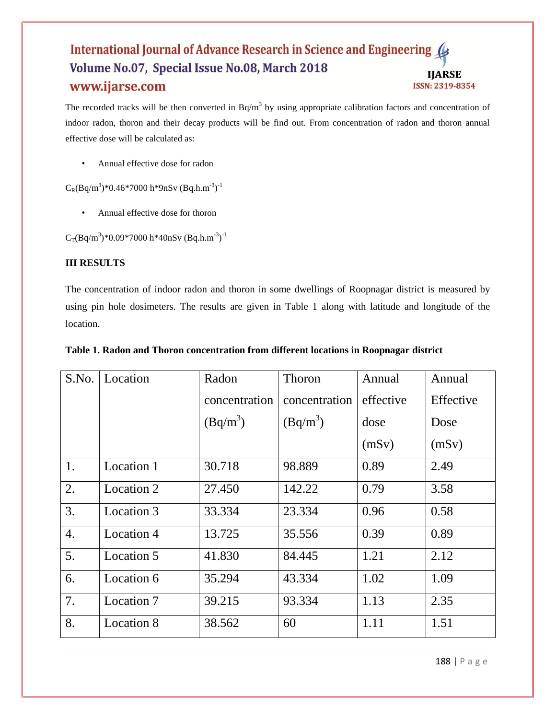#### International Journal of Advance Research in Science and Engineering ( Volume No.07, Special Issue No.08, March 2018 **IJARSE** www.ijarse.com ISSN: 2319-8354

The recorded tracks will be then converted in  $Bq/m<sup>3</sup>$  by using appropriate calibration factors and concentration of indoor radon, thoron and their decay products will be find out. From concentration of radon and thoron annual effective dose will be calculated as:

• Annual effective dose for radon

 $C_R(Bq/m^3)*0.46*7000 h*9nSv (Bq.h.m^{-3})^{-1}$ 

• Annual effective dose for thoron

 $C_T(Bq/m^3)*0.09*7000 h*40nSv (Bq.h.m^{-3})^{-1}$ 

# **III RESULTS**

The concentration of indoor radon and thoron in some dwellings of Roopnagar district is measured by using pin hole dosimeters. The results are given in Table 1 along with latitude and longitude of the location.

| S.No. | Location          | Radon         | Thoron        | Annual    | Annual    |
|-------|-------------------|---------------|---------------|-----------|-----------|
|       |                   | concentration | concentration | effective | Effective |
|       |                   | $(Bq/m^3)$    | $(Bq/m^3)$    | dose      | Dose      |
|       |                   |               |               | (mSv)     | (mSv)     |
| 1.    | Location 1        | 30.718        | 98.889        | 0.89      | 2.49      |
| 2.    | Location 2        | 27.450        | 142.22        | 0.79      | 3.58      |
| 3.    | Location 3        | 33.334        | 23.334        | 0.96      | 0.58      |
| 4.    | Location 4        | 13.725        | 35.556        | 0.39      | 0.89      |
| 5.    | Location 5        | 41.830        | 84.445        | 1.21      | 2.12      |
| 6.    | Location 6        | 35.294        | 43.334        | 1.02      | 1.09      |
| 7.    | Location 7        | 39.215        | 93.334        | 1.13      | 2.35      |
| 8.    | <b>Location 8</b> | 38.562        | 60            | 1.11      | 1.51      |

## **Table 1. Radon and Thoron concentration from different locations in Roopnagar district**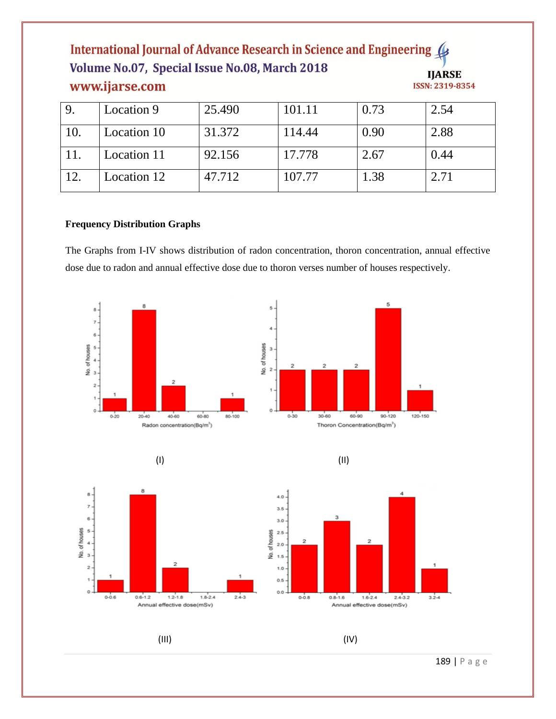# International Journal of Advance Research in Science and Engineering Volume No.07, Special Issue No.08, March 2018 **HADSE** www.ijarse.com

11. Location 11 92.156 17.778 2.67 0.44

12. Location 12 47.712 107.77 1.38 2.71

| www.ijarse.com |             |        |      |      | TITTIOP<br>ISSN: 2319-8354 |  |  |
|----------------|-------------|--------|------|------|----------------------------|--|--|
| Q              | Location 9  | 25.490 |      | 0.73 | 2.54                       |  |  |
|                | Location 10 |        | 4.44 | 0.90 | 2.88                       |  |  |

The Graphs from I-IV shows distribution of radon concentration, thoron concentration, annual effective dose due to radon and annual effective dose due to thoron verses number of houses respectively.